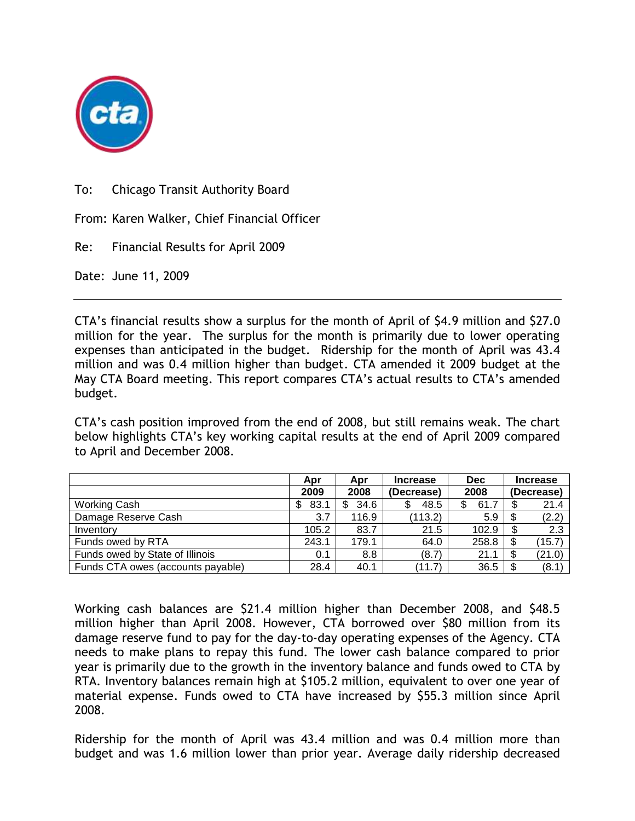

To: Chicago Transit Authority Board

From: Karen Walker, Chief Financial Officer

Re: Financial Results for April 2009

Date: June 11, 2009

CTA's financial results show a surplus for the month of April of \$4.9 million and \$27.0 million for the year. The surplus for the month is primarily due to lower operating expenses than anticipated in the budget. Ridership for the month of April was 43.4 million and was 0.4 million higher than budget. CTA amended it 2009 budget at the May CTA Board meeting. This report compares CTA's actual results to CTA's amended budget.

CTA's cash position improved from the end of 2008, but still remains weak. The chart below highlights CTA's key working capital results at the end of April 2009 compared to April and December 2008.

|                                   | Apr        | Apr   | <b>Increase</b> | <b>Dec</b> | <b>Increase</b> |        |
|-----------------------------------|------------|-------|-----------------|------------|-----------------|--------|
|                                   | 2009       | 2008  | (Decrease)      | 2008       | (Decrease)      |        |
| <b>Working Cash</b>               | 83.1<br>\$ | 34.6  | 48.5            | 61.7<br>\$ |                 | 21.4   |
| Damage Reserve Cash               | 3.7        | 116.9 | (113.2)         | 5.9        |                 | (2.2)  |
| Inventory                         | 105.2      | 83.7  | 21.5            | 102.9      |                 | 2.3    |
| Funds owed by RTA                 | 243.1      | 179.1 | 64.0            | 258.8      | S               | (15.7) |
| Funds owed by State of Illinois   | 0.1        | 8.8   | (8.7)           | 21.1       | S               | (21.0) |
| Funds CTA owes (accounts payable) | 28.4       | 40.1  | (11.7)          | 36.5       |                 | (8.1)  |

Working cash balances are \$21.4 million higher than December 2008, and \$48.5 million higher than April 2008. However, CTA borrowed over \$80 million from its damage reserve fund to pay for the day-to-day operating expenses of the Agency. CTA needs to make plans to repay this fund. The lower cash balance compared to prior year is primarily due to the growth in the inventory balance and funds owed to CTA by RTA. Inventory balances remain high at \$105.2 million, equivalent to over one year of material expense. Funds owed to CTA have increased by \$55.3 million since April 2008.

Ridership for the month of April was 43.4 million and was 0.4 million more than budget and was 1.6 million lower than prior year. Average daily ridership decreased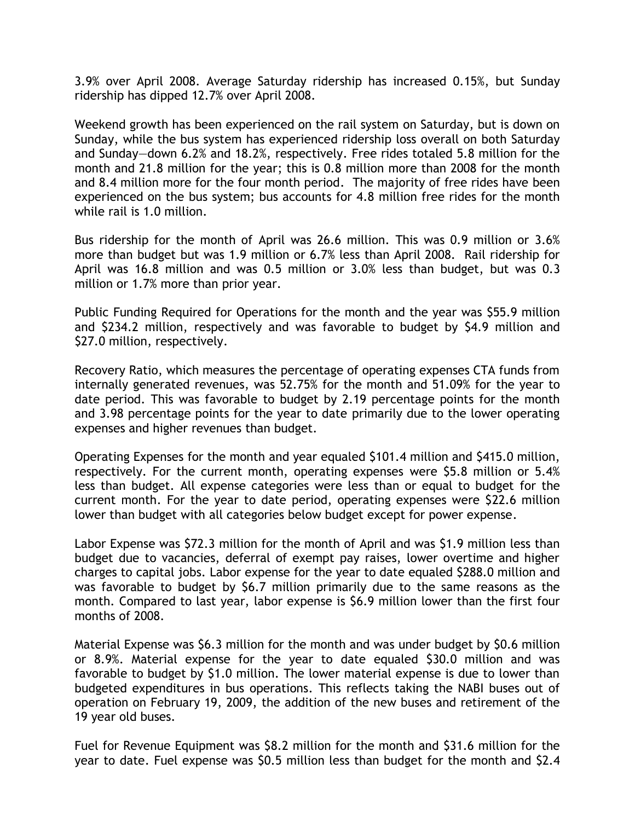3.9% over April 2008. Average Saturday ridership has increased 0.15%, but Sunday ridership has dipped 12.7% over April 2008.

Weekend growth has been experienced on the rail system on Saturday, but is down on Sunday, while the bus system has experienced ridership loss overall on both Saturday and Sunday—down 6.2% and 18.2%, respectively. Free rides totaled 5.8 million for the month and 21.8 million for the year; this is 0.8 million more than 2008 for the month and 8.4 million more for the four month period. The majority of free rides have been experienced on the bus system; bus accounts for 4.8 million free rides for the month while rail is 1.0 million.

Bus ridership for the month of April was 26.6 million. This was 0.9 million or 3.6% more than budget but was 1.9 million or 6.7% less than April 2008. Rail ridership for April was 16.8 million and was 0.5 million or 3.0% less than budget, but was 0.3 million or 1.7% more than prior year.

Public Funding Required for Operations for the month and the year was \$55.9 million and \$234.2 million, respectively and was favorable to budget by \$4.9 million and \$27.0 million, respectively.

Recovery Ratio, which measures the percentage of operating expenses CTA funds from internally generated revenues, was 52.75% for the month and 51.09% for the year to date period. This was favorable to budget by 2.19 percentage points for the month and 3.98 percentage points for the year to date primarily due to the lower operating expenses and higher revenues than budget.

Operating Expenses for the month and year equaled \$101.4 million and \$415.0 million, respectively. For the current month, operating expenses were \$5.8 million or 5.4% less than budget. All expense categories were less than or equal to budget for the current month. For the year to date period, operating expenses were \$22.6 million lower than budget with all categories below budget except for power expense.

Labor Expense was \$72.3 million for the month of April and was \$1.9 million less than budget due to vacancies, deferral of exempt pay raises, lower overtime and higher charges to capital jobs. Labor expense for the year to date equaled \$288.0 million and was favorable to budget by \$6.7 million primarily due to the same reasons as the month. Compared to last year, labor expense is \$6.9 million lower than the first four months of 2008.

Material Expense was \$6.3 million for the month and was under budget by \$0.6 million or 8.9%. Material expense for the year to date equaled \$30.0 million and was favorable to budget by \$1.0 million. The lower material expense is due to lower than budgeted expenditures in bus operations. This reflects taking the NABI buses out of operation on February 19, 2009, the addition of the new buses and retirement of the 19 year old buses.

Fuel for Revenue Equipment was \$8.2 million for the month and \$31.6 million for the year to date. Fuel expense was \$0.5 million less than budget for the month and \$2.4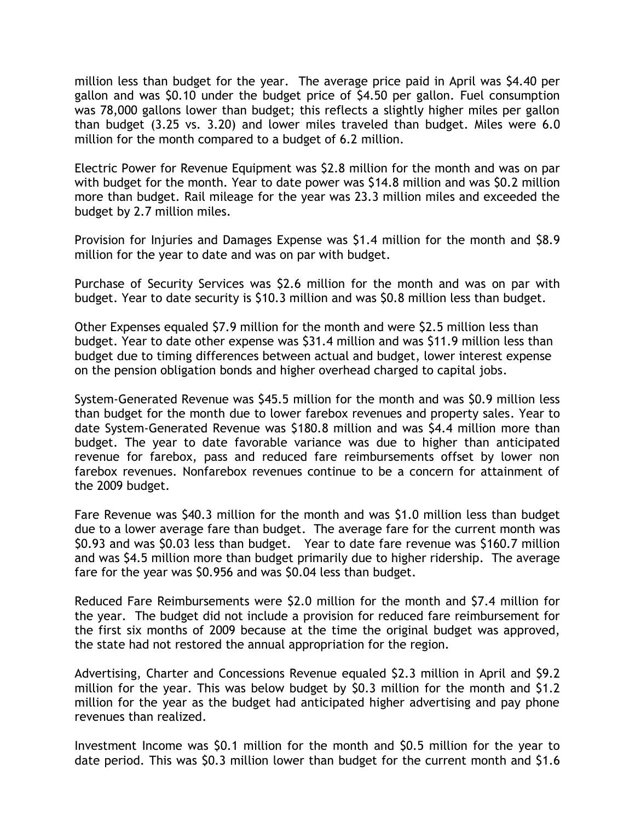million less than budget for the year. The average price paid in April was \$4.40 per gallon and was \$0.10 under the budget price of \$4.50 per gallon. Fuel consumption was 78,000 gallons lower than budget; this reflects a slightly higher miles per gallon than budget (3.25 vs. 3.20) and lower miles traveled than budget. Miles were 6.0 million for the month compared to a budget of 6.2 million.

Electric Power for Revenue Equipment was \$2.8 million for the month and was on par with budget for the month. Year to date power was \$14.8 million and was \$0.2 million more than budget. Rail mileage for the year was 23.3 million miles and exceeded the budget by 2.7 million miles.

Provision for Injuries and Damages Expense was \$1.4 million for the month and \$8.9 million for the year to date and was on par with budget.

Purchase of Security Services was \$2.6 million for the month and was on par with budget. Year to date security is \$10.3 million and was \$0.8 million less than budget.

Other Expenses equaled \$7.9 million for the month and were \$2.5 million less than budget. Year to date other expense was \$31.4 million and was \$11.9 million less than budget due to timing differences between actual and budget, lower interest expense on the pension obligation bonds and higher overhead charged to capital jobs.

System-Generated Revenue was \$45.5 million for the month and was \$0.9 million less than budget for the month due to lower farebox revenues and property sales. Year to date System-Generated Revenue was \$180.8 million and was \$4.4 million more than budget. The year to date favorable variance was due to higher than anticipated revenue for farebox, pass and reduced fare reimbursements offset by lower non farebox revenues. Nonfarebox revenues continue to be a concern for attainment of the 2009 budget.

Fare Revenue was \$40.3 million for the month and was \$1.0 million less than budget due to a lower average fare than budget. The average fare for the current month was \$0.93 and was \$0.03 less than budget. Year to date fare revenue was \$160.7 million and was \$4.5 million more than budget primarily due to higher ridership. The average fare for the year was \$0.956 and was \$0.04 less than budget.

Reduced Fare Reimbursements were \$2.0 million for the month and \$7.4 million for the year. The budget did not include a provision for reduced fare reimbursement for the first six months of 2009 because at the time the original budget was approved, the state had not restored the annual appropriation for the region.

Advertising, Charter and Concessions Revenue equaled \$2.3 million in April and \$9.2 million for the year. This was below budget by \$0.3 million for the month and \$1.2 million for the year as the budget had anticipated higher advertising and pay phone revenues than realized.

Investment Income was \$0.1 million for the month and \$0.5 million for the year to date period. This was \$0.3 million lower than budget for the current month and \$1.6